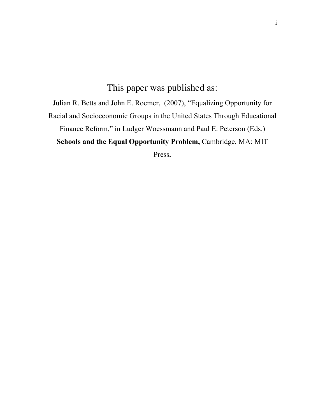This paper was published as:

Julian R. Betts and John E. Roemer, (2007), "Equalizing Opportunity for Racial and Socioeconomic Groups in the United States Through Educational Finance Reform," in Ludger Woessmann and Paul E. Peterson (Eds.) **Schools and the Equal Opportunity Problem,** Cambridge, MA: MIT Press**.**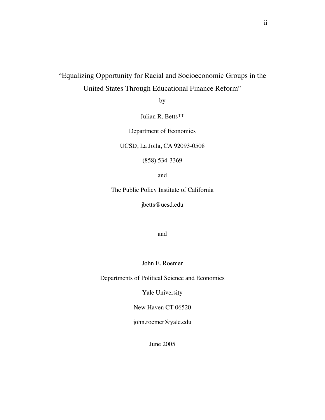# "Equalizing Opportunity for Racial and Socioeconomic Groups in the United States Through Educational Finance Reform"

by

Julian R. Betts\*\*

Department of Economics

UCSD, La Jolla, CA 92093-0508

(858) 534-3369

and

The Public Policy Institute of California

jbetts@ucsd.edu

and

John E. Roemer

Departments of Political Science and Economics

Yale University

New Haven CT 06520

john.roemer@yale.edu

June 2005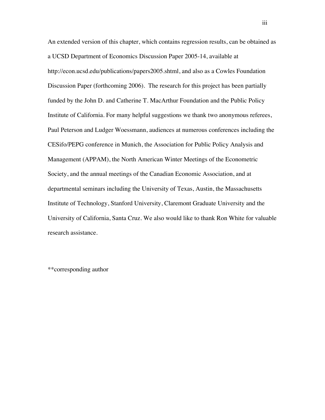An extended version of this chapter, which contains regression results, can be obtained as a UCSD Department of Economics Discussion Paper 2005-14, available at http://econ.ucsd.edu/publications/papers2005.shtml, and also as a Cowles Foundation Discussion Paper (forthcoming 2006). The research for this project has been partially funded by the John D. and Catherine T. MacArthur Foundation and the Public Policy Institute of California. For many helpful suggestions we thank two anonymous referees, Paul Peterson and Ludger Woessmann, audiences at numerous conferences including the CESifo/PEPG conference in Munich, the Association for Public Policy Analysis and Management (APPAM), the North American Winter Meetings of the Econometric Society, and the annual meetings of the Canadian Economic Association, and at departmental seminars including the University of Texas, Austin, the Massachusetts Institute of Technology, Stanford University, Claremont Graduate University and the University of California, Santa Cruz. We also would like to thank Ron White for valuable research assistance.

\*\*corresponding author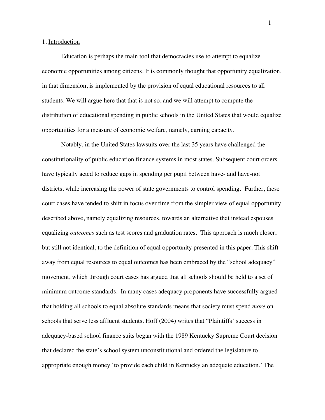### 1. Introduction

Education is perhaps the main tool that democracies use to attempt to equalize economic opportunities among citizens. It is commonly thought that opportunity equalization, in that dimension, is implemented by the provision of equal educational resources to all students. We will argue here that that is not so, and we will attempt to compute the distribution of educational spending in public schools in the United States that would equalize opportunities for a measure of economic welfare, namely, earning capacity.

Notably, in the United States lawsuits over the last 35 years have challenged the constitutionality of public education finance systems in most states. Subsequent court orders have typically acted to reduce gaps in spending per pupil between have- and have-not districts, while increasing the power of state governments to control spending.<sup>1</sup> Further, these court cases have tended to shift in focus over time from the simpler view of equal opportunity described above, namely equalizing resources, towards an alternative that instead espouses equalizing *outcomes* such as test scores and graduation rates. This approach is much closer, but still not identical, to the definition of equal opportunity presented in this paper. This shift away from equal resources to equal outcomes has been embraced by the "school adequacy" movement, which through court cases has argued that all schools should be held to a set of minimum outcome standards. In many cases adequacy proponents have successfully argued that holding all schools to equal absolute standards means that society must spend *more* on schools that serve less affluent students. Hoff (2004) writes that "Plaintiffs' success in adequacy-based school finance suits began with the 1989 Kentucky Supreme Court decision that declared the state's school system unconstitutional and ordered the legislature to appropriate enough money 'to provide each child in Kentucky an adequate education.' The

1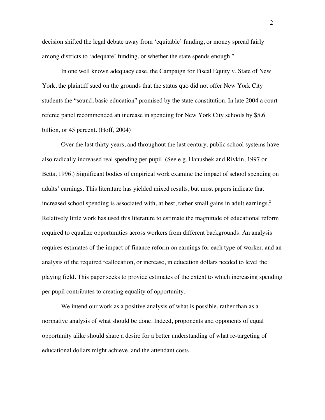decision shifted the legal debate away from 'equitable' funding, or money spread fairly among districts to 'adequate' funding, or whether the state spends enough."

In one well known adequacy case, the Campaign for Fiscal Equity v. State of New York, the plaintiff sued on the grounds that the status quo did not offer New York City students the "sound, basic education" promised by the state constitution. In late 2004 a court referee panel recommended an increase in spending for New York City schools by \$5.6 billion, or 45 percent. (Hoff, 2004)

Over the last thirty years, and throughout the last century, public school systems have also radically increased real spending per pupil. (See e.g. Hanushek and Rivkin, 1997 or Betts, 1996.) Significant bodies of empirical work examine the impact of school spending on adults' earnings. This literature has yielded mixed results, but most papers indicate that increased school spending is associated with, at best, rather small gains in adult earnings.<sup>2</sup> Relatively little work has used this literature to estimate the magnitude of educational reform required to equalize opportunities across workers from different backgrounds. An analysis requires estimates of the impact of finance reform on earnings for each type of worker, and an analysis of the required reallocation, or increase, in education dollars needed to level the playing field. This paper seeks to provide estimates of the extent to which increasing spending per pupil contributes to creating equality of opportunity.

We intend our work as a positive analysis of what is possible, rather than as a normative analysis of what should be done. Indeed, proponents and opponents of equal opportunity alike should share a desire for a better understanding of what re-targeting of educational dollars might achieve, and the attendant costs.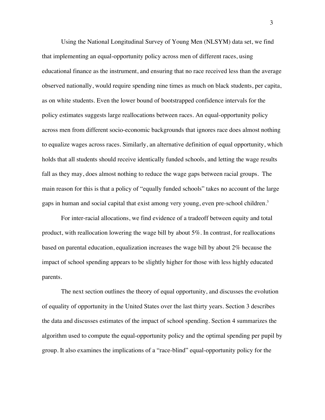Using the National Longitudinal Survey of Young Men (NLSYM) data set, we find that implementing an equal-opportunity policy across men of different races, using educational finance as the instrument, and ensuring that no race received less than the average observed nationally, would require spending nine times as much on black students, per capita, as on white students. Even the lower bound of bootstrapped confidence intervals for the policy estimates suggests large reallocations between races. An equal-opportunity policy across men from different socio-economic backgrounds that ignores race does almost nothing to equalize wages across races. Similarly, an alternative definition of equal opportunity, which holds that all students should receive identically funded schools, and letting the wage results fall as they may, does almost nothing to reduce the wage gaps between racial groups. The main reason for this is that a policy of "equally funded schools" takes no account of the large gaps in human and social capital that exist among very young, even pre-school children.<sup>3</sup>

For inter-racial allocations, we find evidence of a tradeoff between equity and total product, with reallocation lowering the wage bill by about 5%. In contrast, for reallocations based on parental education, equalization increases the wage bill by about 2% because the impact of school spending appears to be slightly higher for those with less highly educated parents.

The next section outlines the theory of equal opportunity, and discusses the evolution of equality of opportunity in the United States over the last thirty years. Section 3 describes the data and discusses estimates of the impact of school spending. Section 4 summarizes the algorithm used to compute the equal-opportunity policy and the optimal spending per pupil by group. It also examines the implications of a "race-blind" equal-opportunity policy for the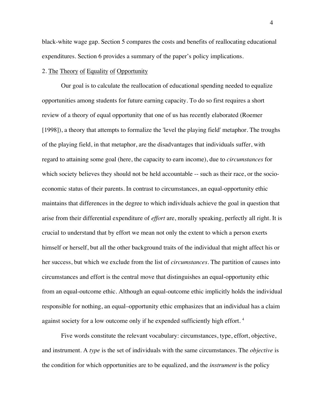black-white wage gap. Section 5 compares the costs and benefits of reallocating educational expenditures. Section 6 provides a summary of the paper's policy implications.

# 2. The Theory of Equality of Opportunity

Our goal is to calculate the reallocation of educational spending needed to equalize opportunities among students for future earning capacity. To do so first requires a short review of a theory of equal opportunity that one of us has recently elaborated (Roemer [1998]), a theory that attempts to formalize the 'level the playing field' metaphor. The troughs of the playing field, in that metaphor, are the disadvantages that individuals suffer, with regard to attaining some goal (here, the capacity to earn income), due to *circumstances* for which society believes they should not be held accountable -- such as their race, or the socioeconomic status of their parents. In contrast to circumstances, an equal-opportunity ethic maintains that differences in the degree to which individuals achieve the goal in question that arise from their differential expenditure of *effort* are, morally speaking, perfectly all right. It is crucial to understand that by effort we mean not only the extent to which a person exerts himself or herself, but all the other background traits of the individual that might affect his or her success, but which we exclude from the list of *circumstances*. The partition of causes into circumstances and effort is the central move that distinguishes an equal-opportunity ethic from an equal-outcome ethic. Although an equal-outcome ethic implicitly holds the individual responsible for nothing, an equal–opportunity ethic emphasizes that an individual has a claim against society for a low outcome only if he expended sufficiently high effort.<sup>4</sup>

Five words constitute the relevant vocabulary: circumstances, type, effort, objective, and instrument. A *type* is the set of individuals with the same circumstances. The *objective* is the condition for which opportunities are to be equalized, and the *instrument* is the policy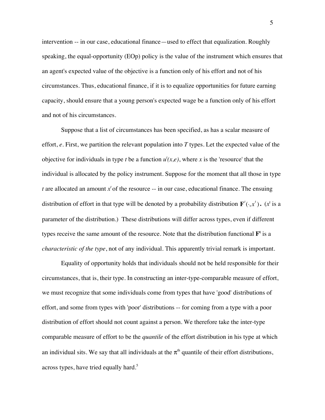intervention -- in our case, educational finance—used to effect that equalization. Roughly speaking, the equal-opportunity (EOp) policy is the value of the instrument which ensures that an agent's expected value of the objective is a function only of his effort and not of his circumstances. Thus, educational finance, if it is to equalize opportunities for future earning capacity, should ensure that a young person's expected wage be a function only of his effort and not of his circumstances.

Suppose that a list of circumstances has been specified, as has a scalar measure of effort, *e*. First, we partition the relevant population into *T* types. Let the expected value of the objective for individuals in type *t* be a function  $u^t(x,e)$ , where *x* is the 'resource' that the individual is allocated by the policy instrument. Suppose for the moment that all those in type *t* are allocated an amount x' of the resource -- in our case, educational finance. The ensuing distribution of effort in that type will be denoted by a probability distribution  $\mathbf{F}'(\cdot, x')$ .  $(x^t)$  is a parameter of the distribution.) These distributions will differ across types, even if different types receive the same amount of the resource. Note that the distribution functional  $\mathbf{F}^t$  is a *characteristic of the type*, not of any individual. This apparently trivial remark is important.

Equality of opportunity holds that individuals should not be held responsible for their circumstances, that is, their type. In constructing an inter-type-comparable measure of effort, we must recognize that some individuals come from types that have 'good' distributions of effort, and some from types with 'poor' distributions -- for coming from a type with a poor distribution of effort should not count against a person. We therefore take the inter-type comparable measure of effort to be the *quantile* of the effort distribution in his type at which an individual sits. We say that all individuals at the  $\pi^{th}$  quantile of their effort distributions, across types, have tried equally hard.<sup>5</sup>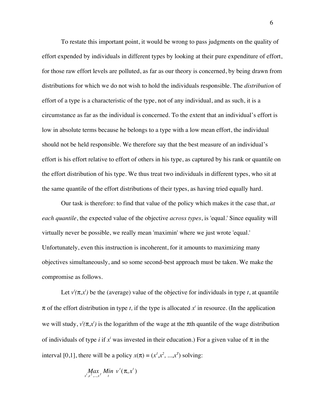To restate this important point, it would be wrong to pass judgments on the quality of effort expended by individuals in different types by looking at their pure expenditure of effort, for those raw effort levels are polluted, as far as our theory is concerned, by being drawn from distributions for which we do not wish to hold the individuals responsible. The *distribution* of effort of a type is a characteristic of the type, not of any individual, and as such, it is a circumstance as far as the individual is concerned. To the extent that an individual's effort is low in absolute terms because he belongs to a type with a low mean effort, the individual should not be held responsible. We therefore say that the best measure of an individual's effort is his effort relative to effort of others in his type, as captured by his rank or quantile on the effort distribution of his type. We thus treat two individuals in different types, who sit at the same quantile of the effort distributions of their types, as having tried equally hard.

Our task is therefore: to find that value of the policy which makes it the case that, *at each quantile*, the expected value of the objective *across types*, is 'equal.' Since equality will virtually never be possible, we really mean 'maximin' where we just wrote 'equal.' Unfortunately, even this instruction is incoherent, for it amounts to maximizing many objectives simultaneously, and so some second-best approach must be taken. We make the compromise as follows.

Let  $v'(\pi, x')$  be the (average) value of the objective for individuals in type *t*, at quantile  $\pi$  of the effort distribution in type *t*, if the type is allocated  $x<sup>t</sup>$  in resource. (In the application we will study,  $v'(\pi, x')$  is the logarithm of the wage at the  $\pi$ th quantile of the wage distribution of individuals of type *i* if  $x<sup>i</sup>$  was invested in their education.) For a given value of  $\pi$  in the interval [0,1], there will be a policy  $x(\pi) = (x^l, x^2, ..., x^l)$  solving:

$$
\underset{x^1,x^2,\dots,x^T}{Max} \underset{t}{Min} \ v^t(\pi,x^t)
$$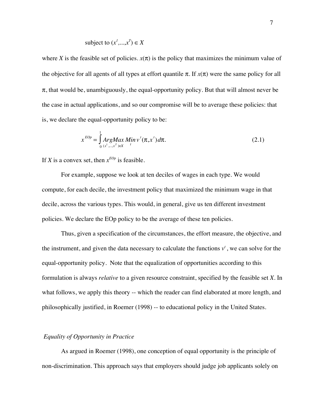subject to 
$$
(x^1,...,x^T) \in X
$$

where *X* is the feasible set of policies.  $x(\pi)$  is the policy that maximizes the minimum value of the objective for all agents of all types at effort quantile  $\pi$ . If  $x(\pi)$  were the same policy for all  $\pi$ , that would be, unambiguously, the equal-opportunity policy. But that will almost never be the case in actual applications, and so our compromise will be to average these policies: that is, we declare the equal-opportunity policy to be:

$$
x^{EOp} = \int_{0}^{1} ArgMax \, Min \, v^{t}(\pi, x^{t}) d\pi.
$$
 (2.1)

If *X* is a convex set, then  $x^{EOp}$  is feasible.

For example, suppose we look at ten deciles of wages in each type. We would compute, for each decile, the investment policy that maximized the minimum wage in that decile, across the various types. This would, in general, give us ten different investment policies. We declare the EOp policy to be the average of these ten policies.

Thus, given a specification of the circumstances, the effort measure, the objective, and the instrument, and given the data necessary to calculate the functions  $v<sup>t</sup>$ , we can solve for the equal-opportunity policy. Note that the equalization of opportunities according to this formulation is always *relative* to a given resource constraint, specified by the feasible set *X.* In what follows, we apply this theory -- which the reader can find elaborated at more length, and philosophically justified, in Roemer (1998) -- to educational policy in the United States.

# *Equality of Opportunity in Practice*

As argued in Roemer (1998), one conception of equal opportunity is the principle of non-discrimination. This approach says that employers should judge job applicants solely on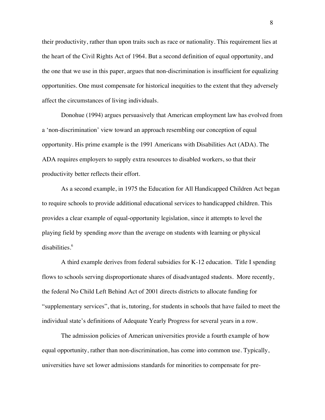their productivity, rather than upon traits such as race or nationality. This requirement lies at the heart of the Civil Rights Act of 1964. But a second definition of equal opportunity, and the one that we use in this paper, argues that non-discrimination is insufficient for equalizing opportunities. One must compensate for historical inequities to the extent that they adversely affect the circumstances of living individuals.

Donohue (1994) argues persuasively that American employment law has evolved from a 'non-discrimination' view toward an approach resembling our conception of equal opportunity. His prime example is the 1991 Americans with Disabilities Act (ADA). The ADA requires employers to supply extra resources to disabled workers, so that their productivity better reflects their effort.

As a second example, in 1975 the Education for All Handicapped Children Act began to require schools to provide additional educational services to handicapped children. This provides a clear example of equal-opportunity legislation, since it attempts to level the playing field by spending *more* than the average on students with learning or physical disabilities.<sup>6</sup>

A third example derives from federal subsidies for K-12 education. Title I spending flows to schools serving disproportionate shares of disadvantaged students. More recently, the federal No Child Left Behind Act of 2001 directs districts to allocate funding for "supplementary services", that is, tutoring, for students in schools that have failed to meet the individual state's definitions of Adequate Yearly Progress for several years in a row.

The admission policies of American universities provide a fourth example of how equal opportunity, rather than non-discrimination, has come into common use. Typically, universities have set lower admissions standards for minorities to compensate for pre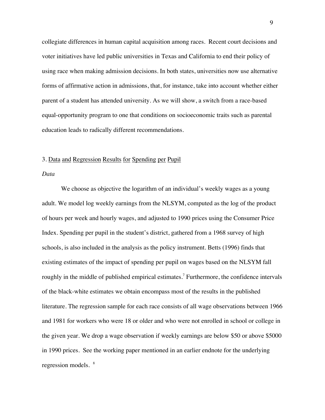collegiate differences in human capital acquisition among races. Recent court decisions and voter initiatives have led public universities in Texas and California to end their policy of using race when making admission decisions. In both states, universities now use alternative forms of affirmative action in admissions, that, for instance, take into account whether either parent of a student has attended university. As we will show, a switch from a race-based equal-opportunity program to one that conditions on socioeconomic traits such as parental education leads to radically different recommendations.

### 3. Data and Regression Results for Spending per Pupil

*Data*

We choose as objective the logarithm of an individual's weekly wages as a young adult. We model log weekly earnings from the NLSYM, computed as the log of the product of hours per week and hourly wages, and adjusted to 1990 prices using the Consumer Price Index. Spending per pupil in the student's district, gathered from a 1968 survey of high schools, is also included in the analysis as the policy instrument. Betts (1996) finds that existing estimates of the impact of spending per pupil on wages based on the NLSYM fall roughly in the middle of published empirical estimates.<sup>7</sup> Furthermore, the confidence intervals of the black-white estimates we obtain encompass most of the results in the published literature. The regression sample for each race consists of all wage observations between 1966 and 1981 for workers who were 18 or older and who were not enrolled in school or college in the given year. We drop a wage observation if weekly earnings are below \$50 or above \$5000 in 1990 prices. See the working paper mentioned in an earlier endnote for the underlying regression models. <sup>8</sup>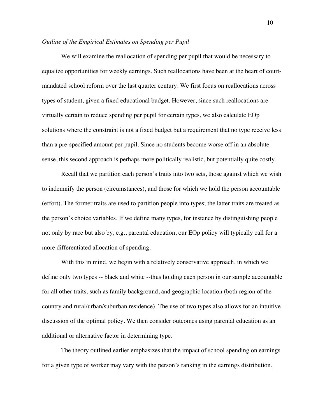# *Outline of the Empirical Estimates on Spending per Pupil*

We will examine the reallocation of spending per pupil that would be necessary to equalize opportunities for weekly earnings. Such reallocations have been at the heart of courtmandated school reform over the last quarter century. We first focus on reallocations across types of student, given a fixed educational budget. However, since such reallocations are virtually certain to reduce spending per pupil for certain types, we also calculate EOp solutions where the constraint is not a fixed budget but a requirement that no type receive less than a pre-specified amount per pupil. Since no students become worse off in an absolute sense, this second approach is perhaps more politically realistic, but potentially quite costly.

Recall that we partition each person's traits into two sets, those against which we wish to indemnify the person (circumstances), and those for which we hold the person accountable (effort). The former traits are used to partition people into types; the latter traits are treated as the person's choice variables. If we define many types, for instance by distinguishing people not only by race but also by, e.g., parental education, our EOp policy will typically call for a more differentiated allocation of spending.

With this in mind, we begin with a relatively conservative approach, in which we define only two types -- black and white --thus holding each person in our sample accountable for all other traits, such as family background, and geographic location (both region of the country and rural/urban/suburban residence). The use of two types also allows for an intuitive discussion of the optimal policy. We then consider outcomes using parental education as an additional or alternative factor in determining type.

The theory outlined earlier emphasizes that the impact of school spending on earnings for a given type of worker may vary with the person's ranking in the earnings distribution,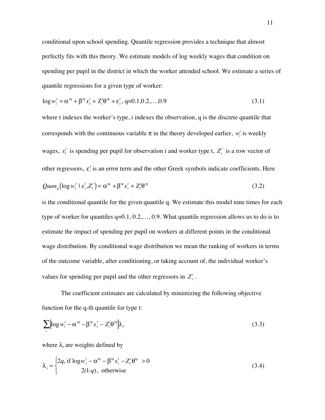conditional upon school spending. Quantile regression provides a technique that almost perfectly fits with this theory. We estimate models of log weekly wages that condition on spending per pupil in the district in which the worker attended school. We estimate a series of quantile regressions for a given type of worker:

$$
\log w_i^t = \alpha^{tq} + \beta^{tq} x_i^t + Z_i^t \theta^{tq} + \varepsilon_i^t, \quad \text{q=0.1, 0.2, \dots, 0.9}
$$
\n(3.1)

where t indexes the worker's type, i indexes the observation, q is the discrete quantile that corresponds with the continuous variable  $\pi$  in the theory developed earlier,  $w_i^t$  is weekly wages,  $x_i^t$  is spending per pupil for observation i and worker type t,  $Z_i^t$  is a row vector of other regressors,  $\varepsilon_i^t$  is an error term and the other Greek symbols indicate coefficients. Here  $Quan_q(\log w_i^t \mid x_i^t, Z_i^t) = \alpha^{tq} + \beta^{tq} x_i^t + Z_i^t$  $\theta^{tq}$  (3.2)

is the conditional quantile for the given quantile q. We estimate this model nine times for each type of worker for quantiles  $q=0.1, 0.2,..., 0.9$ . What quantile regression allows us to do is to estimate the impact of spending per pupil on workers at different points in the conditional wage distribution. By conditional wage distribution we mean the ranking of workers in terms of the outcome variable, after conditioning, or taking account of, the individual worker's values for spending per pupil and the other regressors in  $Z_t^i$ .

The coefficient estimates are calculated by minimizing the following objective function for the q-th quantile for type t:

$$
\sum_{i} \left| \log w_i^t - \alpha^{tq} - \beta^{tq} x_i^t - Z_i^t \Theta^{tq} \right| \lambda_i \tag{3.3}
$$

where  $\lambda_i$  are weights defined by

$$
\lambda_i = \begin{cases} 2q, & \text{if } \log w_i^t - \alpha^{tq} - \beta^{tq} x_i^t - Z_i^t \theta^{tq} > 0 \\ 2(1-q), & \text{otherwise} \end{cases} \tag{3.4}
$$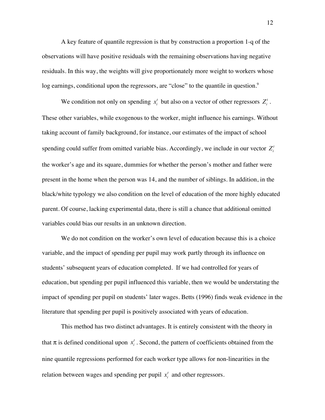A key feature of quantile regression is that by construction a proportion 1-q of the observations will have positive residuals with the remaining observations having negative residuals. In this way, the weights will give proportionately more weight to workers whose log earnings, conditional upon the regressors, are "close" to the quantile in question.<sup>9</sup>

We condition not only on spending  $x_i^t$  but also on a vector of other regressors  $Z_i^t$ . These other variables, while exogenous to the worker, might influence his earnings. Without taking account of family background, for instance, our estimates of the impact of school spending could suffer from omitted variable bias. Accordingly, we include in our vector  $Z_i^t$ the worker's age and its square, dummies for whether the person's mother and father were present in the home when the person was 14, and the number of siblings. In addition, in the black/white typology we also condition on the level of education of the more highly educated parent. Of course, lacking experimental data, there is still a chance that additional omitted variables could bias our results in an unknown direction.

We do not condition on the worker's own level of education because this is a choice variable, and the impact of spending per pupil may work partly through its influence on students' subsequent years of education completed. If we had controlled for years of education, but spending per pupil influenced this variable, then we would be understating the impact of spending per pupil on students' later wages. Betts (1996) finds weak evidence in the literature that spending per pupil is positively associated with years of education.

This method has two distinct advantages. It is entirely consistent with the theory in that  $\pi$  is defined conditional upon  $x_i^t$ . Second, the pattern of coefficients obtained from the nine quantile regressions performed for each worker type allows for non-linearities in the relation between wages and spending per pupil  $x_i^t$  and other regressors.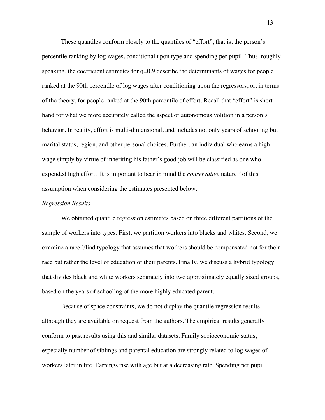These quantiles conform closely to the quantiles of "effort", that is, the person's percentile ranking by log wages, conditional upon type and spending per pupil. Thus, roughly speaking, the coefficient estimates for q=0.9 describe the determinants of wages for people ranked at the 90th percentile of log wages after conditioning upon the regressors, or, in terms of the theory, for people ranked at the 90th percentile of effort. Recall that "effort" is shorthand for what we more accurately called the aspect of autonomous volition in a person's behavior. In reality, effort is multi-dimensional, and includes not only years of schooling but marital status, region, and other personal choices. Further, an individual who earns a high wage simply by virtue of inheriting his father's good job will be classified as one who expended high effort. It is important to bear in mind the *conservative* nature<sup>10</sup> of this assumption when considering the estimates presented below.

#### *Regression Results*

We obtained quantile regression estimates based on three different partitions of the sample of workers into types. First, we partition workers into blacks and whites. Second, we examine a race-blind typology that assumes that workers should be compensated not for their race but rather the level of education of their parents. Finally, we discuss a hybrid typology that divides black and white workers separately into two approximately equally sized groups, based on the years of schooling of the more highly educated parent.

Because of space constraints, we do not display the quantile regression results, although they are available on request from the authors. The empirical results generally conform to past results using this and similar datasets. Family socioeconomic status, especially number of siblings and parental education are strongly related to log wages of workers later in life. Earnings rise with age but at a decreasing rate. Spending per pupil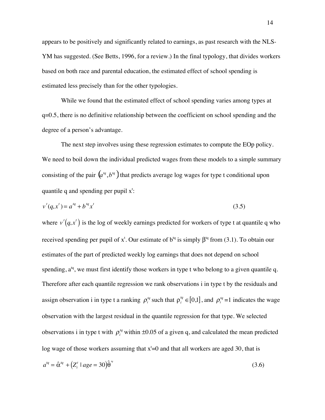appears to be positively and significantly related to earnings, as past research with the NLS-YM has suggested. (See Betts, 1996, for a review.) In the final typology, that divides workers based on both race and parental education, the estimated effect of school spending is estimated less precisely than for the other typologies.

While we found that the estimated effect of school spending varies among types at q=0.5, there is no definitive relationship between the coefficient on school spending and the degree of a person's advantage.

The next step involves using these regression estimates to compute the EOp policy. We need to boil down the individual predicted wages from these models to a simple summary consisting of the pair  $(a^{tq}, b^{tq})$  that predicts average log wages for type t conditional upon quantile q and spending per pupil  $x^t$ :

$$
v^t(q, x^t) = a^{tq} + b^{tq} x^t
$$
\n(3.5)

where  $v'(q, x')$  is the log of weekly earnings predicted for workers of type t at quantile q who received spending per pupil of  $x^t$ . Our estimate of  $b^{tq}$  is simply  $\beta^{tq}$  from (3.1). To obtain our estimates of the part of predicted weekly log earnings that does not depend on school spending,  $a^{tq}$ , we must first identify those workers in type t who belong to a given quantile q. Therefore after each quantile regression we rank observations i in type t by the residuals and assign observation i in type t a ranking  $\rho_i^{tq}$  such that  $\rho_i^{tq} \in [0,1]$ , and  $\rho_i^{tq} = 1$  indicates the wage observation with the largest residual in the quantile regression for that type. We selected observations i in type t with  $\rho_i^{tq}$  within  $\pm 0.05$  of a given q, and calculated the mean predicted log wage of those workers assuming that  $x^{\text{t}}=0$  and that all workers are aged 30, that is  $a^{tq} = \hat{\alpha}^{tq} + (Z_i^t \mid age = 30)\hat{\theta}^{tq}$ (3.6)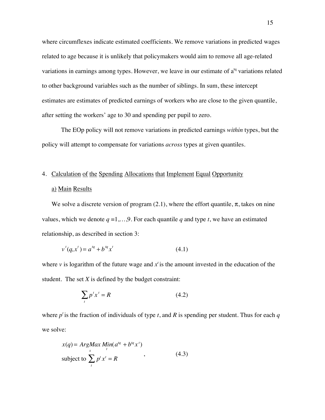where circumflexes indicate estimated coefficients. We remove variations in predicted wages related to age because it is unlikely that policymakers would aim to remove all age-related variations in earnings among types. However, we leave in our estimate of  $a^{tq}$  variations related to other background variables such as the number of siblings. In sum, these intercept estimates are estimates of predicted earnings of workers who are close to the given quantile, after setting the workers' age to 30 and spending per pupil to zero.

The EOp policy will not remove variations in predicted earnings *within* types, but the policy will attempt to compensate for variations *across* types at given quantiles.

# 4. Calculation of the Spending Allocations that Implement Equal Opportunity a) Main Results

We solve a discrete version of program  $(2.1)$ , where the effort quantile,  $\pi$ , takes on nine values, which we denote  $q = 1, \ldots, 9$ . For each quantile q and type t, we have an estimated relationship, as described in section 3:

$$
v^t(q, x^t) = a^{tq} + b^{tq} x^t
$$
\n(4.1)

where  $\nu$  is logarithm of the future wage and  $x<sup>i</sup>$  is the amount invested in the education of the student. The set *X* is defined by the budget constraint:

$$
\sum_{t} p^t x^t = R \tag{4.2}
$$

where  $p<sup>t</sup>$  is the fraction of individuals of type *t*, and *R* is spending per student. Thus for each *q* we solve:

$$
x(q) = \operatorname{ArgMax}_{x} \underset{t}{\text{Min}}(a^{tq} + b^{tq} x^{t})
$$
  
subject to 
$$
\sum_{t} p^{t} x^{t} = R
$$
 (4.3)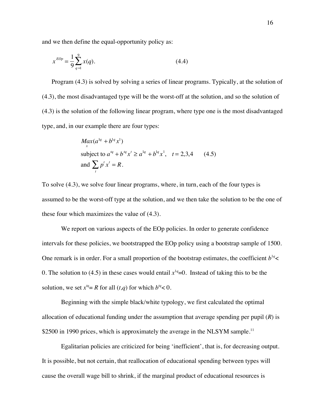and we then define the equal-opportunity policy as:

$$
x^{EOp} = \frac{1}{9} \sum_{q=1}^{9} x(q).
$$
 (4.4)

Program (4.3) is solved by solving a series of linear programs. Typically, at the solution of (4.3), the most disadvantaged type will be the worst-off at the solution, and so the solution of (4.3) is the solution of the following linear program, where type one is the most disadvantaged type, and, in our example there are four types:

$$
Max_{x}(a^{1q} + b^{1q} x^{1})
$$
  
subject to  $a^{tq} + b^{tq} x^{t} \ge a^{1q} + b^{1q} x^{1}$ ,  $t = 2,3,4$  (4.5)  
and  $\sum_{t} p^{t} x^{t} = R$ .

To solve (4.3), we solve four linear programs, where, in turn, each of the four types is assumed to be the worst-off type at the solution, and we then take the solution to be the one of these four which maximizes the value of (4.3).

We report on various aspects of the EOp policies. In order to generate confidence intervals for these policies, we bootstrapped the EOp policy using a bootstrap sample of 1500. One remark is in order. For a small proportion of the bootstrap estimates, the coefficient  $b^{1q}$  < 0. The solution to (4.5) in these cases would entail  $x^{1q} = 0$ . Instead of taking this to be the solution, we set  $x^{tq} = R$  for all  $(t,q)$  for which  $b^{tq} < 0$ .

Beginning with the simple black/white typology, we first calculated the optimal allocation of educational funding under the assumption that average spending per pupil (*R*) is \$2500 in 1990 prices, which is approximately the average in the NLSYM sample.<sup>11</sup>

Egalitarian policies are criticized for being 'inefficient', that is, for decreasing output. It is possible, but not certain, that reallocation of educational spending between types will cause the overall wage bill to shrink, if the marginal product of educational resources is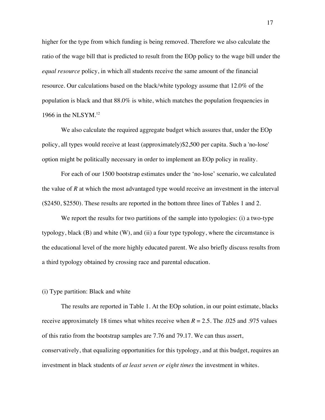higher for the type from which funding is being removed. Therefore we also calculate the ratio of the wage bill that is predicted to result from the EOp policy to the wage bill under the *equal resource* policy, in which all students receive the same amount of the financial resource. Our calculations based on the black/white typology assume that 12.0% of the population is black and that  $88.0\%$  is white, which matches the population frequencies in 1966 in the NLSYM. $^{12}$ 

We also calculate the required aggregate budget which assures that, under the EOp policy, all types would receive at least (approximately)\$2,500 per capita. Such a 'no-lose' option might be politically necessary in order to implement an EOp policy in reality.

For each of our 1500 bootstrap estimates under the 'no-lose' scenario, we calculated the value of *R* at which the most advantaged type would receive an investment in the interval (\$2450, \$2550). These results are reported in the bottom three lines of Tables 1 and 2.

We report the results for two partitions of the sample into typologies: (i) a two-type typology, black  $(B)$  and white  $(W)$ , and  $(ii)$  a four type typology, where the circumstance is the educational level of the more highly educated parent. We also briefly discuss results from a third typology obtained by crossing race and parental education.

# (i) Type partition: Black and white

The results are reported in Table 1. At the EOp solution, in our point estimate, blacks receive approximately 18 times what whites receive when  $R = 2.5$ . The .025 and .975 values of this ratio from the bootstrap samples are 7.76 and 79.17. We can thus assert, conservatively, that equalizing opportunities for this typology, and at this budget, requires an investment in black students of *at least seven or eight times* the investment in whites.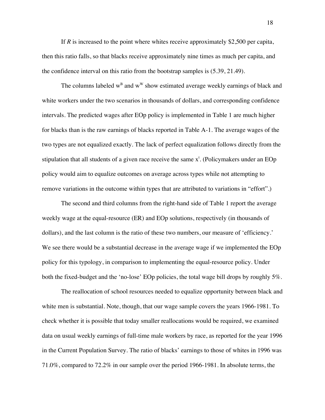If *R* is increased to the point where whites receive approximately \$2,500 per capita, then this ratio falls, so that blacks receive approximately nine times as much per capita, and the confidence interval on this ratio from the bootstrap samples is (5.39, 21.49).

The columns labeled  $w^B$  and  $w^W$  show estimated average weekly earnings of black and white workers under the two scenarios in thousands of dollars, and corresponding confidence intervals. The predicted wages after EOp policy is implemented in Table 1 are much higher for blacks than is the raw earnings of blacks reported in Table A-1. The average wages of the two types are not equalized exactly. The lack of perfect equalization follows directly from the stipulation that all students of a given race receive the same  $x^t$ . (Policymakers under an EOp policy would aim to equalize outcomes on average across types while not attempting to remove variations in the outcome within types that are attributed to variations in "effort".)

The second and third columns from the right-hand side of Table 1 report the average weekly wage at the equal-resource (ER) and EOp solutions, respectively (in thousands of dollars), and the last column is the ratio of these two numbers, our measure of 'efficiency.' We see there would be a substantial decrease in the average wage if we implemented the EOp policy for this typology, in comparison to implementing the equal-resource policy. Under both the fixed-budget and the 'no-lose' EOp policies, the total wage bill drops by roughly 5%.

The reallocation of school resources needed to equalize opportunity between black and white men is substantial. Note, though, that our wage sample covers the years 1966-1981. To check whether it is possible that today smaller reallocations would be required, we examined data on usual weekly earnings of full-time male workers by race, as reported for the year 1996 in the Current Population Survey. The ratio of blacks' earnings to those of whites in 1996 was 71.0%, compared to 72.2% in our sample over the period 1966-1981. In absolute terms, the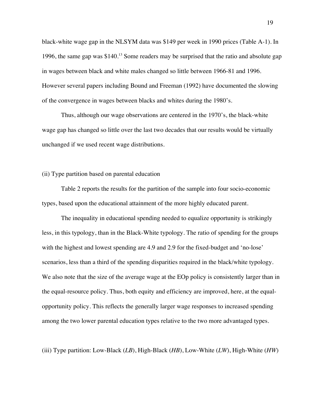black-white wage gap in the NLSYM data was \$149 per week in 1990 prices (Table A-1). In 1996, the same gap was  $$140<sup>13</sup>$  Some readers may be surprised that the ratio and absolute gap in wages between black and white males changed so little between 1966-81 and 1996. However several papers including Bound and Freeman (1992) have documented the slowing of the convergence in wages between blacks and whites during the 1980's.

Thus, although our wage observations are centered in the 1970's, the black-white wage gap has changed so little over the last two decades that our results would be virtually unchanged if we used recent wage distributions.

## (ii) Type partition based on parental education

Table 2 reports the results for the partition of the sample into four socio-economic types, based upon the educational attainment of the more highly educated parent.

The inequality in educational spending needed to equalize opportunity is strikingly less, in this typology, than in the Black-White typology. The ratio of spending for the groups with the highest and lowest spending are 4.9 and 2.9 for the fixed-budget and 'no-lose' scenarios, less than a third of the spending disparities required in the black/white typology. We also note that the size of the average wage at the EOp policy is consistently larger than in the equal-resource policy. Thus, both equity and efficiency are improved, here, at the equalopportunity policy. This reflects the generally larger wage responses to increased spending among the two lower parental education types relative to the two more advantaged types.

(iii) Type partition: Low-Black (*LB*), High-Black (*HB*), Low-White (*LW*), High-White (*HW*)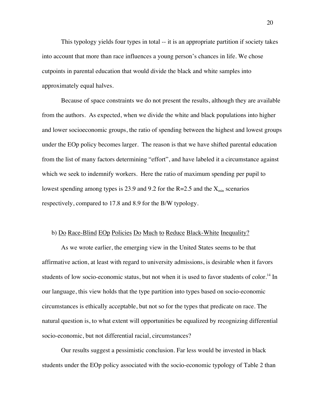This typology yields four types in total -- it is an appropriate partition if society takes into account that more than race influences a young person's chances in life. We chose cutpoints in parental education that would divide the black and white samples into approximately equal halves.

Because of space constraints we do not present the results, although they are available from the authors. As expected, when we divide the white and black populations into higher and lower socioeconomic groups, the ratio of spending between the highest and lowest groups under the EOp policy becomes larger. The reason is that we have shifted parental education from the list of many factors determining "effort", and have labeled it a circumstance against which we seek to indemnify workers. Here the ratio of maximum spending per pupil to lowest spending among types is 23.9 and 9.2 for the  $R=2.5$  and the  $X_{min}$  scenarios respectively, compared to 17.8 and 8.9 for the B/W typology.

### b) Do Race-Blind EOp Policies Do Much to Reduce Black-White Inequality?

As we wrote earlier, the emerging view in the United States seems to be that affirmative action, at least with regard to university admissions, is desirable when it favors students of low socio-economic status, but not when it is used to favor students of color.<sup>14</sup> In our language, this view holds that the type partition into types based on socio-economic circumstances is ethically acceptable, but not so for the types that predicate on race. The natural question is, to what extent will opportunities be equalized by recognizing differential socio-economic, but not differential racial, circumstances?

Our results suggest a pessimistic conclusion. Far less would be invested in black students under the EOp policy associated with the socio-economic typology of Table 2 than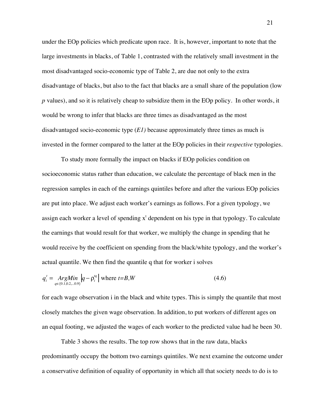under the EOp policies which predicate upon race. It is, however, important to note that the large investments in blacks, of Table 1, contrasted with the relatively small investment in the most disadvantaged socio-economic type of Table 2, are due not only to the extra disadvantage of blacks, but also to the fact that blacks are a small share of the population (low *p* values), and so it is relatively cheap to subsidize them in the EOp policy. In other words, it would be wrong to infer that blacks are three times as disadvantaged as the most disadvantaged socio-economic type (*E1)* because approximately three times as much is invested in the former compared to the latter at the EOp policies in their *respective* typologies.

To study more formally the impact on blacks if EOp policies condition on socioeconomic status rather than education, we calculate the percentage of black men in the regression samples in each of the earnings quintiles before and after the various EOp policies are put into place. We adjust each worker's earnings as follows. For a given typology, we assign each worker a level of spending  $x<sup>t</sup>$  dependent on his type in that typology. To calculate the earnings that would result for that worker, we multiply the change in spending that he would receive by the coefficient on spending from the black/white typology, and the worker's actual quantile. We then find the quantile q that for worker i solves

$$
q_i^t = \underset{q \in \{0.1, 0.2, \dots, 0.9\}}{ArgMin} |q - \rho_i^{tq}| \text{ where } t = B, W \tag{4.6}
$$

for each wage observation i in the black and white types. This is simply the quantile that most closely matches the given wage observation. In addition, to put workers of different ages on an equal footing, we adjusted the wages of each worker to the predicted value had he been 30.

Table 3 shows the results. The top row shows that in the raw data, blacks predominantly occupy the bottom two earnings quintiles. We next examine the outcome under a conservative definition of equality of opportunity in which all that society needs to do is to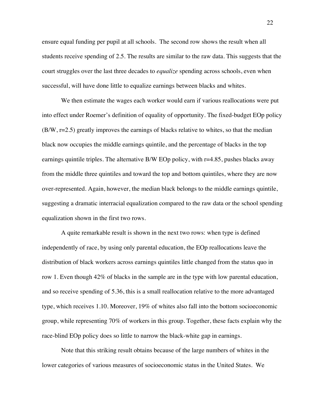ensure equal funding per pupil at all schools. The second row shows the result when all students receive spending of 2.5. The results are similar to the raw data. This suggests that the court struggles over the last three decades to *equalize* spending across schools, even when successful, will have done little to equalize earnings between blacks and whites.

We then estimate the wages each worker would earn if various reallocations were put into effect under Roemer's definition of equality of opportunity. The fixed-budget EOp policy (B/W, r=2.5) greatly improves the earnings of blacks relative to whites, so that the median black now occupies the middle earnings quintile, and the percentage of blacks in the top earnings quintile triples. The alternative B/W EOp policy, with r=4.85, pushes blacks away from the middle three quintiles and toward the top and bottom quintiles, where they are now over-represented. Again, however, the median black belongs to the middle earnings quintile, suggesting a dramatic interracial equalization compared to the raw data or the school spending equalization shown in the first two rows.

A quite remarkable result is shown in the next two rows: when type is defined independently of race, by using only parental education, the EOp reallocations leave the distribution of black workers across earnings quintiles little changed from the status quo in row 1. Even though 42% of blacks in the sample are in the type with low parental education, and so receive spending of 5.36, this is a small reallocation relative to the more advantaged type, which receives 1.10. Moreover, 19% of whites also fall into the bottom socioeconomic group, while representing 70% of workers in this group. Together, these facts explain why the race-blind EOp policy does so little to narrow the black-white gap in earnings.

Note that this striking result obtains because of the large numbers of whites in the lower categories of various measures of socioeconomic status in the United States. We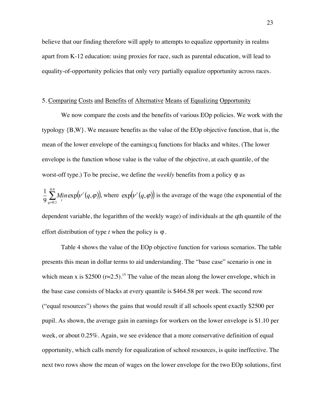believe that our finding therefore will apply to attempts to equalize opportunity in realms apart from K-12 education: using proxies for race, such as parental education, will lead to equality-of-opportunity policies that only very partially equalize opportunity across races.

## 5. Comparing Costs and Benefits of Alternative Means of Equalizing Opportunity

We now compare the costs and the benefits of various EOp policies. We work with the typology {B,W}. We measure benefits as the value of the EOp objective function, that is, the mean of the lower envelope of the earnings:q functions for blacks and whites. (The lower envelope is the function whose value is the value of the objective, at each quantile, of the worst-off type.) To be precise, we define the *weekly* benefits from a policy ϕ as

$$
\frac{1}{9} \sum_{q=0.1}^{0.9} Min \exp(\nu^t(q, \varphi))
$$
, where  $\exp(\nu^t(q, \varphi))$  is the average of the wage (the exponential of the dependent variable, the logarithm of the weekly wage) of individuals at the qth quantile of the effort distribution of type *t* when the policy is  $\varphi$ .

Table 4 shows the value of the EOp objective function for various scenarios. The table presents this mean in dollar terms to aid understanding. The "base case" scenario is one in which mean x is \$2500 ( $r=2.5$ ).<sup>15</sup> The value of the mean along the lower envelope, which in the base case consists of blacks at every quantile is \$464.58 per week. The second row ("equal resources") shows the gains that would result if all schools spent exactly \$2500 per pupil. As shown, the average gain in earnings for workers on the lower envelope is \$1.10 per week, or about 0.25%. Again, we see evidence that a more conservative definition of equal opportunity, which calls merely for equalization of school resources, is quite ineffective. The next two rows show the mean of wages on the lower envelope for the two EOp solutions, first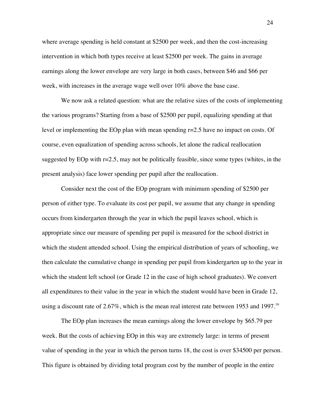where average spending is held constant at \$2500 per week, and then the cost-increasing intervention in which both types receive at least \$2500 per week. The gains in average earnings along the lower envelope are very large in both cases, between \$46 and \$66 per week, with increases in the average wage well over 10% above the base case.

We now ask a related question: what are the relative sizes of the costs of implementing the various programs? Starting from a base of \$2500 per pupil, equalizing spending at that level or implementing the EOp plan with mean spending r=2.5 have no impact on costs. Of course, even equalization of spending across schools, let alone the radical reallocation suggested by EOp with  $r=2.5$ , may not be politically feasible, since some types (whites, in the present analysis) face lower spending per pupil after the reallocation.

Consider next the cost of the EOp program with minimum spending of \$2500 per person of either type. To evaluate its cost per pupil, we assume that any change in spending occurs from kindergarten through the year in which the pupil leaves school, which is appropriate since our measure of spending per pupil is measured for the school district in which the student attended school. Using the empirical distribution of years of schooling, we then calculate the cumulative change in spending per pupil from kindergarten up to the year in which the student left school (or Grade 12 in the case of high school graduates). We convert all expenditures to their value in the year in which the student would have been in Grade 12, using a discount rate of 2.67%, which is the mean real interest rate between 1953 and 1997.<sup>16</sup>

The EOp plan increases the mean earnings along the lower envelope by \$65.79 per week. But the costs of achieving EOp in this way are extremely large: in terms of present value of spending in the year in which the person turns 18, the cost is over \$34500 per person. This figure is obtained by dividing total program cost by the number of people in the entire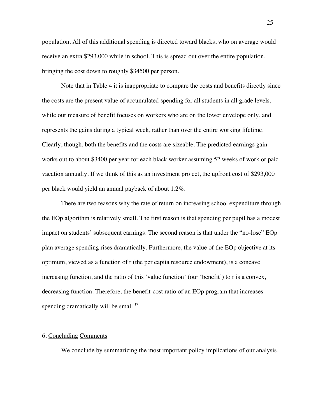population. All of this additional spending is directed toward blacks, who on average would receive an extra \$293,000 while in school. This is spread out over the entire population, bringing the cost down to roughly \$34500 per person.

Note that in Table 4 it is inappropriate to compare the costs and benefits directly since the costs are the present value of accumulated spending for all students in all grade levels, while our measure of benefit focuses on workers who are on the lower envelope only, and represents the gains during a typical week, rather than over the entire working lifetime. Clearly, though, both the benefits and the costs are sizeable. The predicted earnings gain works out to about \$3400 per year for each black worker assuming 52 weeks of work or paid vacation annually. If we think of this as an investment project, the upfront cost of \$293,000 per black would yield an annual payback of about 1.2%.

There are two reasons why the rate of return on increasing school expenditure through the EOp algorithm is relatively small. The first reason is that spending per pupil has a modest impact on students' subsequent earnings. The second reason is that under the "no-lose" EOp plan average spending rises dramatically. Furthermore, the value of the EOp objective at its optimum, viewed as a function of r (the per capita resource endowment), is a concave increasing function, and the ratio of this 'value function' (our 'benefit') to r is a convex, decreasing function. Therefore, the benefit-cost ratio of an EOp program that increases spending dramatically will be small. $^{17}$ 

## 6. Concluding Comments

We conclude by summarizing the most important policy implications of our analysis.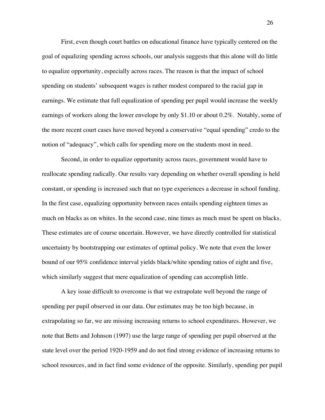First, even though court battles on educational finance have typically centered on the goal of equalizing spending across schools, our analysis suggests that this alone will do little to equalize opportunity, especially across races. The reason is that the impact of school spending on students' subsequent wages is rather modest compared to the racial gap in earnings. We estimate that full equalization of spending per pupil would increase the weekly earnings of workers along the lower envelope by only \$1.10 or about 0.2%. Notably, some of the more recent court cases have moved beyond a conservative "equal spending" credo to the notion of "adequacy", which calls for spending more on the students most in need.

Second, in order to equalize opportunity across races, government would have to reallocate spending radically. Our results vary depending on whether overall spending is held constant, or spending is increased such that no type experiences a decrease in school funding. In the first case, equalizing opportunity between races entails spending eighteen times as much on blacks as on whites. In the second case, nine times as much must be spent on blacks. These estimates are of course uncertain. However, we have directly controlled for statistical uncertainty by bootstrapping our estimates of optimal policy. We note that even the lower bound of our 95% confidence interval yields black/white spending ratios of eight and five, which similarly suggest that mere equalization of spending can accomplish little.

A key issue difficult to overcome is that we extrapolate well beyond the range of spending per pupil observed in our data. Our estimates may be too high because, in extrapolating so far, we are missing increasing returns to school expenditures. However, we note that Betts and Johnson (1997) use the large range of spending per pupil observed at the state level over the period 1920-1959 and do not find strong evidence of increasing returns to school resources, and in fact find some evidence of the opposite. Similarly, spending per pupil

26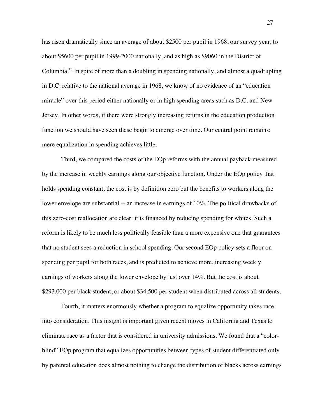has risen dramatically since an average of about \$2500 per pupil in 1968, our survey year, to about \$5600 per pupil in 1999-2000 nationally, and as high as \$9060 in the District of Columbia. <sup>18</sup> In spite of more than a doubling in spending nationally, and almost a quadrupling in D.C. relative to the national average in 1968, we know of no evidence of an "education miracle" over this period either nationally or in high spending areas such as D.C. and New Jersey. In other words, if there were strongly increasing returns in the education production function we should have seen these begin to emerge over time. Our central point remains: mere equalization in spending achieves little.

Third, we compared the costs of the EOp reforms with the annual payback measured by the increase in weekly earnings along our objective function. Under the EOp policy that holds spending constant, the cost is by definition zero but the benefits to workers along the lower envelope are substantial -- an increase in earnings of 10%. The political drawbacks of this zero-cost reallocation are clear: it is financed by reducing spending for whites. Such a reform is likely to be much less politically feasible than a more expensive one that guarantees that no student sees a reduction in school spending. Our second EOp policy sets a floor on spending per pupil for both races, and is predicted to achieve more, increasing weekly earnings of workers along the lower envelope by just over 14%. But the cost is about \$293,000 per black student, or about \$34,500 per student when distributed across all students.

Fourth, it matters enormously whether a program to equalize opportunity takes race into consideration. This insight is important given recent moves in California and Texas to eliminate race as a factor that is considered in university admissions. We found that a "colorblind" EOp program that equalizes opportunities between types of student differentiated only by parental education does almost nothing to change the distribution of blacks across earnings